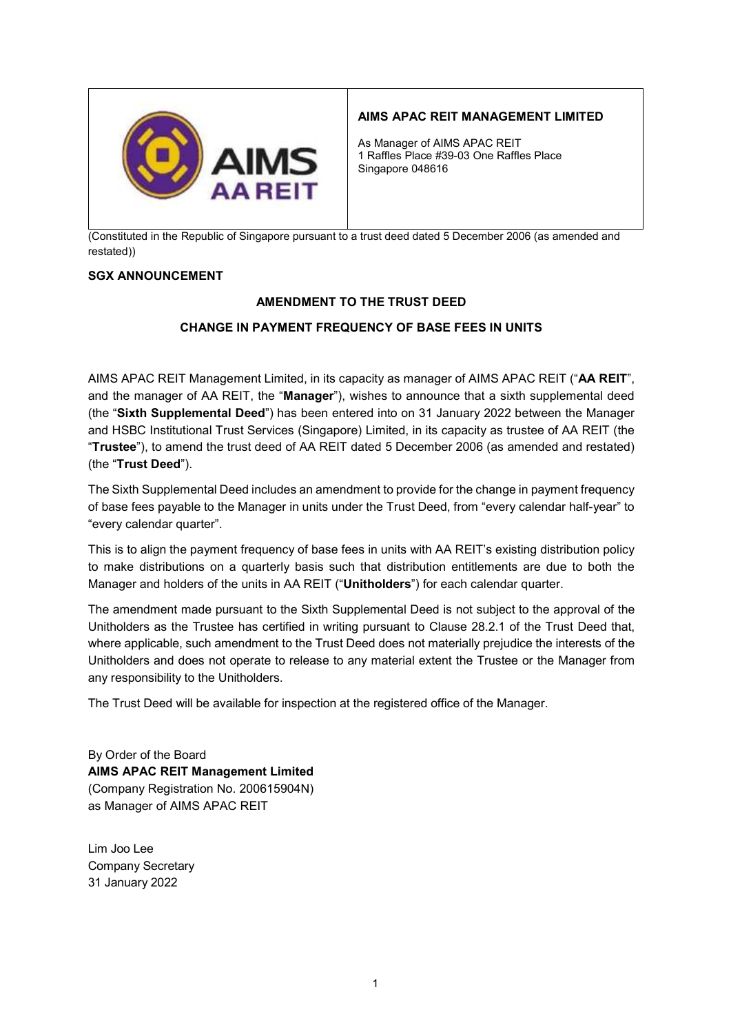

# AIMS APAC REIT MANAGEMENT LIMITED

As Manager of AIMS APAC REIT 1 Raffles Place #39-03 One Raffles Place Singapore 048616

(Constituted in the Republic of Singapore pursuant to a trust deed dated 5 December 2006 (as amended and restated))

## SGX ANNOUNCEMENT

## AMENDMENT TO THE TRUST DEED

## CHANGE IN PAYMENT FREQUENCY OF BASE FEES IN UNITS

AIMS APAC REIT Management Limited, in its capacity as manager of AIMS APAC REIT ("AA REIT", and the manager of AA REIT, the "Manager"), wishes to announce that a sixth supplemental deed (the "Sixth Supplemental Deed") has been entered into on 31 January 2022 between the Manager and HSBC Institutional Trust Services (Singapore) Limited, in its capacity as trustee of AA REIT (the "Trustee"), to amend the trust deed of AA REIT dated 5 December 2006 (as amended and restated) (the "Trust Deed").

The Sixth Supplemental Deed includes an amendment to provide for the change in payment frequency of base fees payable to the Manager in units under the Trust Deed, from "every calendar half-year" to "every calendar quarter".

This is to align the payment frequency of base fees in units with AA REIT's existing distribution policy to make distributions on a quarterly basis such that distribution entitlements are due to both the Manager and holders of the units in AA REIT ("Unitholders") for each calendar quarter.

The amendment made pursuant to the Sixth Supplemental Deed is not subject to the approval of the Unitholders as the Trustee has certified in writing pursuant to Clause 28.2.1 of the Trust Deed that, where applicable, such amendment to the Trust Deed does not materially prejudice the interests of the Unitholders and does not operate to release to any material extent the Trustee or the Manager from any responsibility to the Unitholders.

The Trust Deed will be available for inspection at the registered office of the Manager.

By Order of the Board AIMS APAC REIT Management Limited (Company Registration No. 200615904N) as Manager of AIMS APAC REIT

Lim Joo Lee Company Secretary 31 January 2022